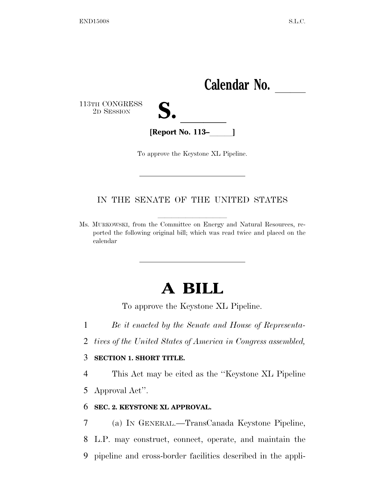

To approve the Keystone XL Pipeline.

## IN THE SENATE OF THE UNITED STATES

Ms. MURKOWSKI, from the Committee on Energy and Natural Resources, reported the following original bill; which was read twice and placed on the calendar

## **A BILL**

To approve the Keystone XL Pipeline.

- 1 *Be it enacted by the Senate and House of Representa-*
- 2 *tives of the United States of America in Congress assembled,*

## 3 **SECTION 1. SHORT TITLE.**

4 This Act may be cited as the ''Keystone XL Pipeline

5 Approval Act''.

## 6 **SEC. 2. KEYSTONE XL APPROVAL.**

7 (a) IN GENERAL.—TransCanada Keystone Pipeline, 8 L.P. may construct, connect, operate, and maintain the 9 pipeline and cross-border facilities described in the appli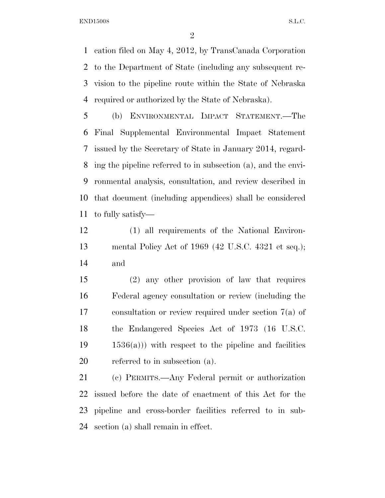END15008 S.L.C.

 cation filed on May 4, 2012, by TransCanada Corporation to the Department of State (including any subsequent re- vision to the pipeline route within the State of Nebraska required or authorized by the State of Nebraska).

 (b) ENVIRONMENTAL IMPACT STATEMENT.—The Final Supplemental Environmental Impact Statement issued by the Secretary of State in January 2014, regard- ing the pipeline referred to in subsection (a), and the envi- ronmental analysis, consultation, and review described in that document (including appendices) shall be considered to fully satisfy—

 (1) all requirements of the National Environ- mental Policy Act of 1969 (42 U.S.C. 4321 et seq.); and

 (2) any other provision of law that requires Federal agency consultation or review (including the consultation or review required under section 7(a) of the Endangered Species Act of 1973 (16 U.S.C.  $19 \t 1536(a))$  with respect to the pipeline and facilities referred to in subsection (a).

 (c) PERMITS.—Any Federal permit or authorization issued before the date of enactment of this Act for the pipeline and cross-border facilities referred to in sub-section (a) shall remain in effect.